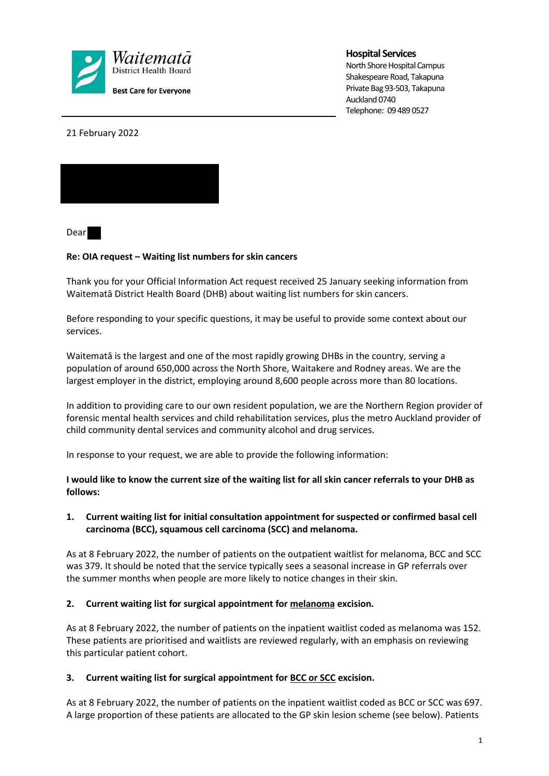

**Hospital Services**

North Shore Hospital Campus Shakespeare Road, Takapuna Private Bag 93-503, Takapuna Auckland 0740 Telephone: 09 489 0527

21 February 2022



Dear

## **Re: OIA request – Waiting list numbers for skin cancers**

Thank you for your Official Information Act request received 25 January seeking information from Waitematā District Health Board (DHB) about waiting list numbers for skin cancers.

Before responding to your specific questions, it may be useful to provide some context about our services.

Waitematā is the largest and one of the most rapidly growing DHBs in the country, serving a population of around 650,000 across the North Shore, Waitakere and Rodney areas. We are the largest employer in the district, employing around 8,600 people across more than 80 locations.

In addition to providing care to our own resident population, we are the Northern Region provider of forensic mental health services and child rehabilitation services, plus the metro Auckland provider of child community dental services and community alcohol and drug services.

In response to your request, we are able to provide the following information:

**I would like to know the current size of the waiting list for all skin cancer referrals to your DHB as follows:**

# **1. Current waiting list for initial consultation appointment for suspected or confirmed basal cell carcinoma (BCC), squamous cell carcinoma (SCC) and melanoma.**

As at 8 February 2022, the number of patients on the outpatient waitlist for melanoma, BCC and SCC was 379. It should be noted that the service typically sees a seasonal increase in GP referrals over the summer months when people are more likely to notice changes in their skin.

### **2. Current waiting list for surgical appointment for melanoma excision.**

As at 8 February 2022, the number of patients on the inpatient waitlist coded as melanoma was 152. These patients are prioritised and waitlists are reviewed regularly, with an emphasis on reviewing this particular patient cohort.

### **3. Current waiting list for surgical appointment for BCC or SCC excision.**

As at 8 February 2022, the number of patients on the inpatient waitlist coded as BCC or SCC was 697. A large proportion of these patients are allocated to the GP skin lesion scheme (see below). Patients